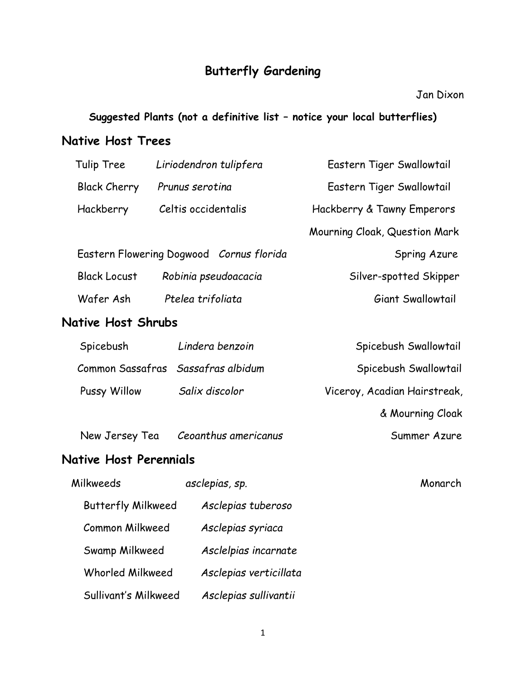## **Butterfly Gardening**

#### Jan Dixon

#### **Suggested Plants (not a definitive list – notice your local butterflies)**

#### **Native Host Trees**

| Tulip Tree                                  | Liriodendron tulipfera                   | Eastern Tiger Swallowtail     |  |  |  |
|---------------------------------------------|------------------------------------------|-------------------------------|--|--|--|
| <b>Black Cherry</b>                         | Prunus serotina                          | Eastern Tiger Swallowtail     |  |  |  |
| Hackberry                                   | Celtis occidentalis                      | Hackberry & Tawny Emperors    |  |  |  |
|                                             |                                          | Mourning Cloak, Question Mark |  |  |  |
|                                             | Eastern Flowering Dogwood Cornus florida | Spring Azure                  |  |  |  |
| <b>Black Locust</b><br>Robinia pseudoacacia |                                          | Silver-spotted Skipper        |  |  |  |
| Wafer Ash                                   | Ptelea trifoliata                        | Giant Swallowtail             |  |  |  |
| <b>Native Host Shrubs</b>                   |                                          |                               |  |  |  |
| Spicebush                                   | Lindera benzoin                          | Spicebush Swallowtail         |  |  |  |
| Common Sassafras                            | Sassafras albidum                        | Spicebush Swallowtail         |  |  |  |
| Pussy Willow                                | Salix discolor                           | Viceroy, Acadian Hairstreak,  |  |  |  |
|                                             |                                          | & Mourning Cloak              |  |  |  |
| New Jersey Tea                              | Ceoanthus americanus                     | Summer Azure                  |  |  |  |
| Native Host Perennials                      |                                          |                               |  |  |  |
| Milkweeds                                   | asclepias, sp.                           | Monarch                       |  |  |  |
| <b>Butterfly Milkweed</b>                   | Asclepias tuberoso                       |                               |  |  |  |

1

Common Milkweed *Asclepias syriaca*

Swamp Milkweed *Asclelpias incarnate*

Whorled Milkweed *Asclepias verticillata*

Sullivant's Milkweed *Asclepias sullivantii*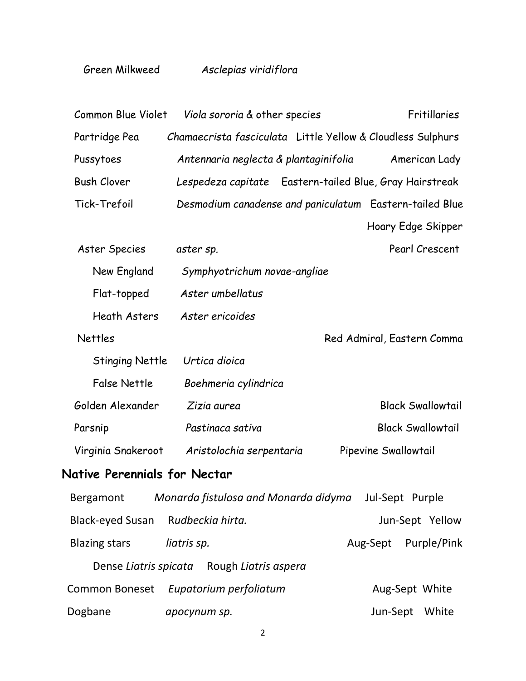| Common Blue Violet                         | Viola sororia & other species         | Fritillaries                                                   |  |  |  |
|--------------------------------------------|---------------------------------------|----------------------------------------------------------------|--|--|--|
| Partridge Pea                              |                                       | Chamaecrista fasciculata Little Yellow & Cloudless Sulphurs    |  |  |  |
| Pussytoes                                  | Antennaria neglecta & plantaginifolia | American Lady                                                  |  |  |  |
| <b>Bush Clover</b>                         |                                       | Lespedeza capitate Eastern-tailed Blue, Gray Hairstreak        |  |  |  |
| Tick-Trefoil                               |                                       | Desmodium canadense and paniculatum Eastern-tailed Blue        |  |  |  |
|                                            |                                       | Hoary Edge Skipper                                             |  |  |  |
| Aster Species                              | aster sp.                             | Pearl Crescent                                                 |  |  |  |
| New England                                | Symphyotrichum novae-angliae          |                                                                |  |  |  |
| Flat-topped                                | Aster umbellatus                      |                                                                |  |  |  |
| <b>Heath Asters</b>                        | Aster ericoides                       |                                                                |  |  |  |
| <b>Nettles</b>                             |                                       | Red Admiral, Eastern Comma                                     |  |  |  |
| <b>Stinging Nettle</b>                     | Urtica dioica                         |                                                                |  |  |  |
| <b>False Nettle</b>                        | Boehmeria cylindrica                  |                                                                |  |  |  |
| Golden Alexander                           | Zizia aurea                           | <b>Black Swallowtail</b>                                       |  |  |  |
| Parsnip                                    | Pastinaca sativa                      | <b>Black Swallowtail</b>                                       |  |  |  |
| Virginia Snakeroot                         | Aristolochia serpentaria              | Pipevine Swallowtail                                           |  |  |  |
| Native Perennials for Nectar               |                                       |                                                                |  |  |  |
|                                            |                                       | Bergamont Monarda fistulosa and Monarda didyma Jul-Sept Purple |  |  |  |
| Black-eyed Susan Rudbeckia hirta.          |                                       | Jun-Sept Yellow                                                |  |  |  |
| <b>Blazing stars</b>                       | liatris sp.                           | Aug-Sept Purple/Pink                                           |  |  |  |
| Dense Liatris spicata Rough Liatris aspera |                                       |                                                                |  |  |  |
|                                            | Common Boneset Eupatorium perfoliatum | Aug-Sept White                                                 |  |  |  |
| Dogbane                                    | apocynum sp.                          | Jun-Sept White                                                 |  |  |  |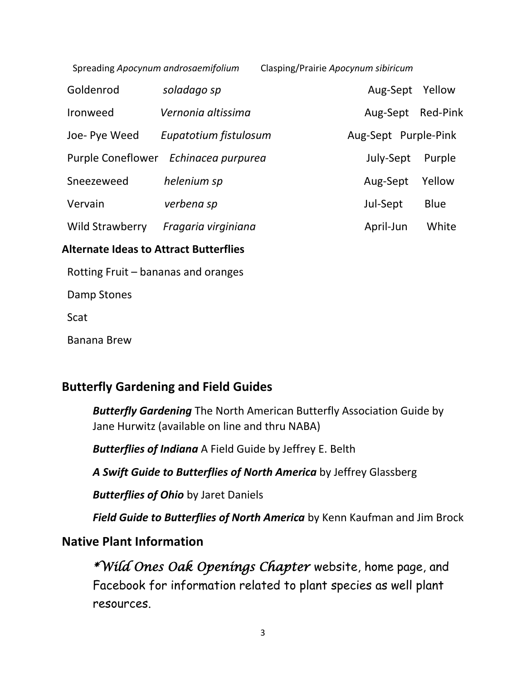| Spreading Apocynum androsaemifolium |                       | Clasping/Prairie Apocynum sibiricum |                      |                 |
|-------------------------------------|-----------------------|-------------------------------------|----------------------|-----------------|
| Goldenrod                           | soladago sp           |                                     | Aug-Sept             | Yellow          |
| <b>Ironweed</b>                     | Vernonia altissima    |                                     | Aug-Sept             | <b>Red-Pink</b> |
| Joe- Pye Weed                       | Eupatotium fistulosum |                                     | Aug-Sept Purple-Pink |                 |
| <b>Purple Coneflower</b>            | Echinacea purpurea    |                                     | July-Sept            | Purple          |
| Sneezeweed                          | helenium sp           |                                     | Aug-Sept             | Yellow          |
| Vervain                             | verbena sp            |                                     | Jul-Sept             | <b>Blue</b>     |
| Wild Strawberry                     | Fragaria virginiana   |                                     | April-Jun            | White           |

#### **Alternate Ideas to Attract Butterflies**

Rotting Fruit – bananas and oranges

Damp Stones

Scat

Banana Brew

### **Butterfly Gardening and Field Guides**

*Butterfly Gardening* The North American Butterfly Association Guide by Jane Hurwitz (available on line and thru NABA)

*Butterflies of Indiana* A Field Guide by Jeffrey E. Belth

*A Swift Guide to Butterflies of North America* by Jeffrey Glassberg

*Butterflies of Ohio* by Jaret Daniels

*Field Guide to Butterflies of North America* by Kenn Kaufman and Jim Brock

### **Native Plant Information**

*\*Wild Ones Oak Openings Chapter* website, home page, and Facebook for information related to plant species as well plant resources.